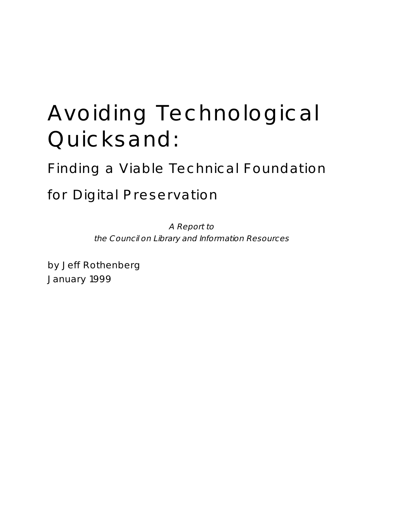# Avoiding Technological Quicksand:

Finding a Viable Technical Foundation

for Digital Preservation

A Report to the Council on Library and Information Resources

by Jeff Rothenberg January 1999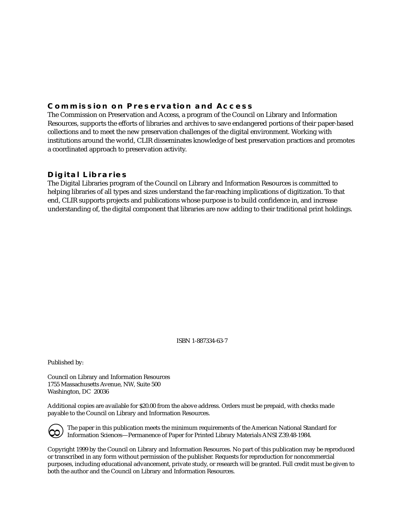## **Commission on Preservation and Access**

The Commission on Preservation and Access, a program of the Council on Library and Information Resources, supports the efforts of libraries and archives to save endangered portions of their paper-based collections and to meet the new preservation challenges of the digital environment. Working with institutions around the world, CLIR disseminates knowledge of best preservation practices and promotes a coordinated approach to preservation activity.

### **Digital Libraries**

The Digital Libraries program of the Council on Library and Information Resources is committed to helping libraries of all types and sizes understand the far-reaching implications of digitization. To that end, CLIR supports projects and publications whose purpose is to build confidence in, and increase understanding of, the digital component that libraries are now adding to their traditional print holdings.

ISBN 1-887334-63-7

Published by:

Council on Library and Information Resources 1755 Massachusetts Avenue, NW, Suite 500 Washington, DC 20036

Additional copies are available for \$20.00 from the above address. Orders must be prepaid, with checks made payable to the Council on Library and Information Resources.

 $\Theta$ 

The paper in this publication meets the minimum requirements of the American National Standard for Information Sciences—Permanence of Paper for Printed Library Materials ANSI Z39.48-1984.

Copyright 1999 by the Council on Library and Information Resources. No part of this publication may be reproduced or transcribed in any form without permission of the publisher. Requests for reproduction for noncommercial purposes, including educational advancement, private study, or research will be granted. Full credit must be given to both the author and the Council on Library and Information Resources.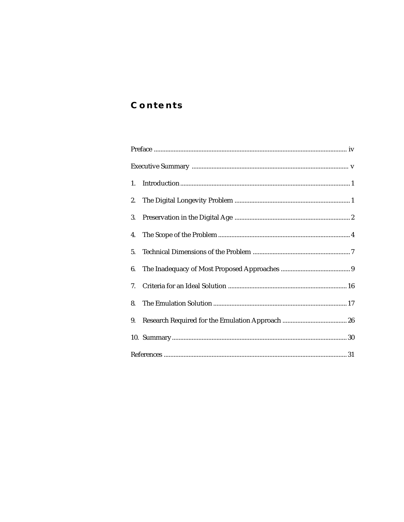## **Contents**

| 5. |  |
|----|--|
|    |  |
|    |  |
|    |  |
| 9. |  |
|    |  |
|    |  |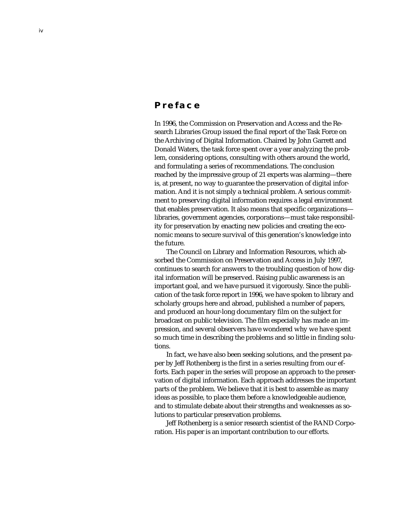## **Preface**

In 1996, the Commission on Preservation and Access and the Research Libraries Group issued the final report of the Task Force on the Archiving of Digital Information. Chaired by John Garrett and Donald Waters, the task force spent over a year analyzing the problem, considering options, consulting with others around the world, and formulating a series of recommendations. The conclusion reached by the impressive group of 21 experts was alarming—there is, at present, no way to guarantee the preservation of digital information. And it is not simply a technical problem. A serious commitment to preserving digital information requires a legal environment that enables preservation. It also means that specific organizations libraries, government agencies, corporations—must take responsibility for preservation by enacting new policies and creating the economic means to secure survival of this generation's knowledge into the future.

The Council on Library and Information Resources, which absorbed the Commission on Preservation and Access in July 1997, continues to search for answers to the troubling question of how digital information will be preserved. Raising public awareness is an important goal, and we have pursued it vigorously. Since the publication of the task force report in 1996, we have spoken to library and scholarly groups here and abroad, published a number of papers, and produced an hour-long documentary film on the subject for broadcast on public television. The film especially has made an impression, and several observers have wondered why we have spent so much time in describing the problems and so little in finding solutions.

In fact, we have also been seeking solutions, and the present paper by Jeff Rothenberg is the first in a series resulting from our efforts. Each paper in the series will propose an approach to the preservation of digital information. Each approach addresses the important parts of the problem. We believe that it is best to assemble as many ideas as possible, to place them before a knowledgeable audience, and to stimulate debate about their strengths and weaknesses as solutions to particular preservation problems.

Jeff Rothenberg is a senior research scientist of the RAND Corporation. His paper is an important contribution to our efforts.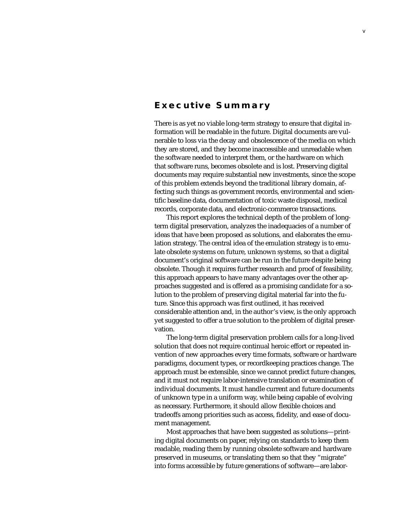## **Executive Summary**

There is as yet no viable long-term strategy to ensure that digital information will be readable in the future. Digital documents are vulnerable to loss via the decay and obsolescence of the media on which they are stored, and they become inaccessible and unreadable when the software needed to interpret them, or the hardware on which that software runs, becomes obsolete and is lost. Preserving digital documents may require substantial new investments, since the scope of this problem extends beyond the traditional library domain, affecting such things as government records, environmental and scientific baseline data, documentation of toxic waste disposal, medical records, corporate data, and electronic-commerce transactions.

This report explores the technical depth of the problem of longterm digital preservation, analyzes the inadequacies of a number of ideas that have been proposed as solutions, and elaborates the emulation strategy. The central idea of the emulation strategy is to emulate obsolete systems on future, unknown systems, so that a digital document's original software can be run in the future despite being obsolete. Though it requires further research and proof of feasibility, this approach appears to have many advantages over the other approaches suggested and is offered as a promising candidate for a solution to the problem of preserving digital material far into the future. Since this approach was first outlined, it has received considerable attention and, in the author's view, is the only approach yet suggested to offer a true solution to the problem of digital preservation.

The long-term digital preservation problem calls for a long-lived solution that does not require continual heroic effort or repeated invention of new approaches every time formats, software or hardware paradigms, document types, or recordkeeping practices change. The approach must be extensible, since we cannot predict future changes, and it must not require labor-intensive translation or examination of individual documents. It must handle current and future documents of unknown type in a uniform way, while being capable of evolving as necessary. Furthermore, it should allow flexible choices and tradeoffs among priorities such as access, fidelity, and ease of document management.

Most approaches that have been suggested as solutions—printing digital documents on paper, relying on standards to keep them readable, reading them by running obsolete software and hardware preserved in museums, or translating them so that they "migrate" into forms accessible by future generations of software—are labor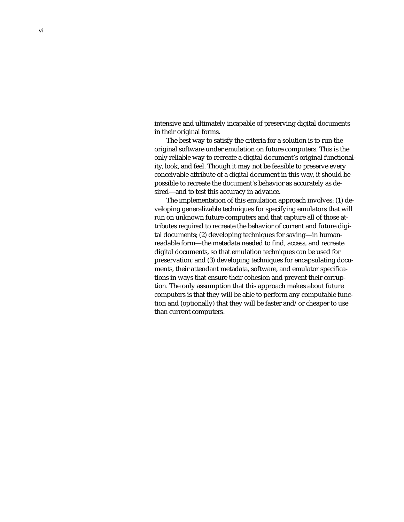intensive and ultimately incapable of preserving digital documents in their original forms.

The best way to satisfy the criteria for a solution is to run the original software under emulation on future computers. This is the only reliable way to recreate a digital document's original functionality, look, and feel. Though it may not be feasible to preserve every conceivable attribute of a digital document in this way, it should be possible to recreate the document's behavior as accurately as desired—and to test this accuracy in advance.

The implementation of this emulation approach involves: (1) developing generalizable techniques for specifying emulators that will run on unknown future computers and that capture all of those attributes required to recreate the behavior of current and future digital documents; (2) developing techniques for saving—in humanreadable form—the metadata needed to find, access, and recreate digital documents, so that emulation techniques can be used for preservation; and (3) developing techniques for encapsulating documents, their attendant metadata, software, and emulator specifications in ways that ensure their cohesion and prevent their corruption. The only assumption that this approach makes about future computers is that they will be able to perform any computable function and (optionally) that they will be faster and/or cheaper to use than current computers.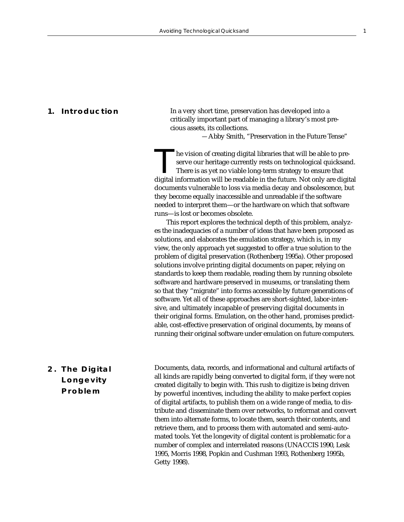**1. Introduction** In a very short time, preservation has developed into a critically important part of managing a library's most precious assets, its collections.

*—*Abby Smith, "Preservation in the Future Tense"

he vision of creating digital libraries that will be able to preserve our heritage currently rests on technological quicksand. There is as yet no viable long-term strategy to ensure that digital information will be readable in the future. Not only are digital documents vulnerable to loss via media decay and obsolescence, but they become equally inaccessible and unreadable if the software needed to interpret them—or the hardware on which that software runs—is lost or becomes obsolete.

This report explores the technical depth of this problem, analyzes the inadequacies of a number of ideas that have been proposed as solutions, and elaborates the emulation strategy, which is, in my view, the only approach yet suggested to offer a true solution to the problem of digital preservation (Rothenberg 1995a). Other proposed solutions involve printing digital documents on paper, relying on standards to keep them readable, reading them by running obsolete software and hardware preserved in museums, or translating them so that they "migrate" into forms accessible by future generations of software. Yet all of these approaches are short-sighted, labor-intensive, and ultimately incapable of preserving digital documents in their original forms. Emulation, on the other hand, promises predictable, cost-effective preservation of original documents, by means of running their original software under emulation on future computers.

## **2. The Digital Longevity Problem**

Documents, data, records, and informational and cultural artifacts of all kinds are rapidly being converted to digital form, if they were not created digitally to begin with. This rush to digitize is being driven by powerful incentives, including the ability to make perfect copies of digital artifacts, to publish them on a wide range of media, to distribute and disseminate them over networks, to reformat and convert them into alternate forms, to locate them, search their contents, and retrieve them, and to process them with automated and semi-automated tools. Yet the longevity of digital content is problematic for a number of complex and interrelated reasons (UNACCIS 1990, Lesk 1995, Morris 1998, Popkin and Cushman 1993, Rothenberg 1995b, Getty 1998).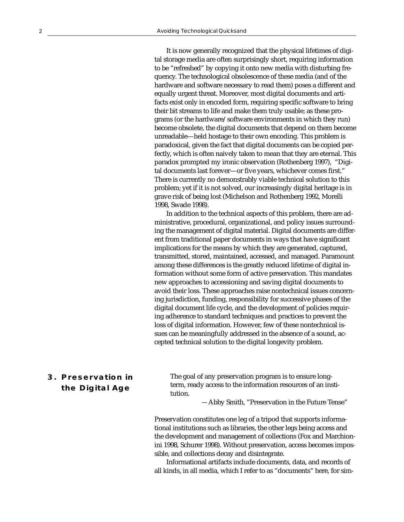It is now generally recognized that the physical lifetimes of digital storage media are often surprisingly short, requiring information to be "refreshed" by copying it onto new media with disturbing frequency. The technological obsolescence of these media (and of the hardware and software necessary to read them) poses a different and equally urgent threat. Moreover, most digital documents and artifacts exist only in encoded form, requiring specific software to bring their bit streams to life and make them truly usable; as these programs (or the hardware/software environments in which they run) become obsolete, the digital documents that depend on them become unreadable—held hostage to their own encoding. This problem is paradoxical, given the fact that digital documents can be copied perfectly, which is often naively taken to mean that they are eternal. This paradox prompted my ironic observation (Rothenberg 1997), "Digital documents last forever—or five years, whichever comes first." There is currently no demonstrably viable technical solution to this problem; yet if it is not solved, our increasingly digital heritage is in grave risk of being lost (Michelson and Rothenberg 1992, Morelli 1998, Swade 1998).

In addition to the technical aspects of this problem, there are administrative, procedural, organizational, and policy issues surrounding the management of digital material. Digital documents are different from traditional paper documents in ways that have significant implications for the means by which they are generated, captured, transmitted, stored, maintained, accessed, and managed. Paramount among these differences is the greatly reduced lifetime of digital information without some form of active preservation. This mandates new approaches to accessioning and saving digital documents to avoid their loss. These approaches raise nontechnical issues concerning jurisdiction, funding, responsibility for successive phases of the digital document life cycle, and the development of policies requiring adherence to standard techniques and practices to prevent the loss of digital information. However, few of these nontechnical issues can be meaningfully addressed in the absence of a sound, accepted technical solution to the digital longevity problem.

## **3. Preservation in the Digital Age**

The goal of any preservation program is to ensure longterm, ready access to the information resources of an institution.

*—*Abby Smith, "Preservation in the Future Tense"

Preservation constitutes one leg of a tripod that supports informational institutions such as libraries, the other legs being access and the development and management of collections (Fox and Marchionini 1998, Schurer 1998). Without preservation, access becomes impossible, and collections decay and disintegrate.

Informational artifacts include documents, data, and records of all kinds, in all media, which I refer to as "documents" here, for sim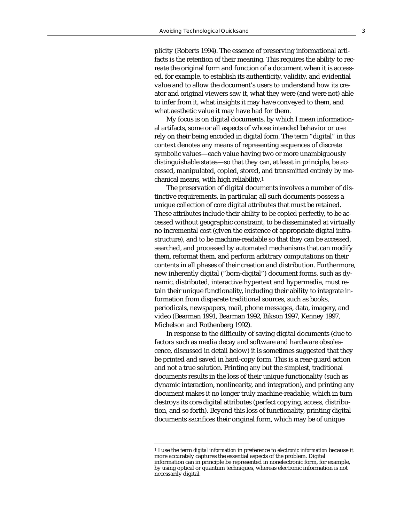plicity (Roberts 1994). The essence of preserving informational artifacts is the retention of their meaning. This requires the ability to recreate the original form and function of a document when it is accessed, for example, to establish its authenticity, validity, and evidential value and to allow the document's users to understand how its creator and original viewers saw it, what they were (and were not) able to infer from it, what insights it may have conveyed to them, and what aesthetic value it may have had for them.

My focus is on digital documents, by which I mean informational artifacts, some or all aspects of whose intended behavior or use rely on their being encoded in digital form. The term "digital" in this context denotes any means of representing sequences of discrete symbolic values—each value having two or more unambiguously distinguishable states—so that they can, at least in principle, be accessed, manipulated, copied, stored, and transmitted entirely by mechanical means, with high reliability.1

The preservation of digital documents involves a number of distinctive requirements. In particular, all such documents possess a unique collection of core digital attributes that must be retained. These attributes include their ability to be copied perfectly, to be accessed without geographic constraint, to be disseminated at virtually no incremental cost (given the existence of appropriate digital infrastructure), and to be machine-readable so that they can be accessed, searched, and processed by automated mechanisms that can modify them, reformat them, and perform arbitrary computations on their contents in all phases of their creation and distribution. Furthermore, new inherently digital ("born-digital") document forms, such as dynamic, distributed, interactive hypertext and hypermedia, must retain their unique functionality, including their ability to integrate information from disparate traditional sources, such as books, periodicals, newspapers, mail, phone messages, data, imagery, and video (Bearman 1991, Bearman 1992, Bikson 1997, Kenney 1997, Michelson and Rothenberg 1992).

In response to the difficulty of saving digital documents (due to factors such as media decay and software and hardware obsolescence, discussed in detail below) it is sometimes suggested that they be printed and saved in hard-copy form. This is a rear-guard action and not a true solution. Printing any but the simplest, traditional documents results in the loss of their unique functionality (such as dynamic interaction, nonlinearity, and integration), and printing any document makes it no longer truly machine-readable, which in turn destroys its core digital attributes (perfect copying, access, distribution, and so forth). Beyond this loss of functionality, printing digital documents sacrifices their original form, which may be of unique

<sup>1</sup> I use the term *digital information* in preference to *electronic information* because it more accurately captures the essential aspects of the problem. Digital information can in principle be represented in nonelectronic form, for example, by using optical or quantum techniques, whereas electronic information is not necessarily digital.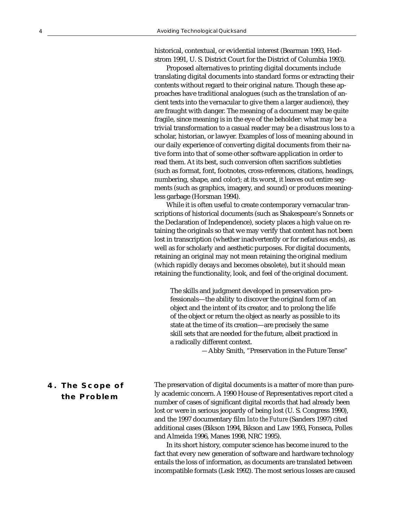historical, contextual, or evidential interest (Bearman 1993, Hedstrom 1991, U. S. District Court for the District of Columbia 1993).

Proposed alternatives to printing digital documents include translating digital documents into standard forms or extracting their contents without regard to their original nature. Though these approaches have traditional analogues (such as the translation of ancient texts into the vernacular to give them a larger audience), they are fraught with danger. The meaning of a document may be quite fragile, since meaning is in the eye of the beholder: what may be a trivial transformation to a casual reader may be a disastrous loss to a scholar, historian, or lawyer. Examples of loss of meaning abound in our daily experience of converting digital documents from their native form into that of some other software application in order to read them. At its best, such conversion often sacrifices subtleties (such as format, font, footnotes, cross-references, citations, headings, numbering, shape, and color); at its worst, it leaves out entire segments (such as graphics, imagery, and sound) or produces meaningless garbage (Horsman 1994).

While it is often useful to create contemporary vernacular transcriptions of historical documents (such as Shakespeare's Sonnets or the Declaration of Independence), society places a high value on retaining the originals so that we may verify that content has not been lost in transcription (whether inadvertently or for nefarious ends), as well as for scholarly and aesthetic purposes. For digital documents, retaining an original may not mean retaining the original medium (which rapidly decays and becomes obsolete), but it should mean retaining the functionality, look, and feel of the original document.

The skills and judgment developed in preservation professionals—the ability to discover the original form of an object and the intent of its creator, and to prolong the life of the object or return the object as nearly as possible to its state at the time of its creation—are precisely the same skill sets that are needed for the future, albeit practiced in a radically different context.

*—*Abby Smith, "Preservation in the Future Tense"

### **4. The Scope of the Problem**

The preservation of digital documents is a matter of more than purely academic concern. A 1990 House of Representatives report cited a number of cases of significant digital records that had already been lost or were in serious jeopardy of being lost (U. S. Congress 1990), and the 1997 documentary film *Into the Future* (Sanders 1997) cited additional cases (Bikson 1994, Bikson and Law 1993, Fonseca, Polles and Almeida 1996, Manes 1998, NRC 1995).

In its short history, computer science has become inured to the fact that every new generation of software and hardware technology entails the loss of information, as documents are translated between incompatible formats (Lesk 1992). The most serious losses are caused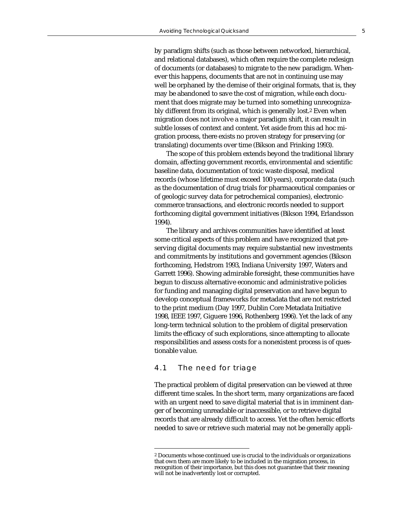by paradigm shifts (such as those between networked, hierarchical, and relational databases), which often require the complete redesign of documents (or databases) to migrate to the new paradigm. Whenever this happens, documents that are not in continuing use may well be orphaned by the demise of their original formats, that is, they may be abandoned to save the cost of migration, while each document that does migrate may be turned into something unrecognizably different from its original, which is generally lost.2 Even when migration does not involve a major paradigm shift, it can result in subtle losses of context and content. Yet aside from this ad hoc migration process, there exists no proven strategy for preserving (or translating) documents over time (Bikson and Frinking 1993).

The scope of this problem extends beyond the traditional library domain, affecting government records, environmental and scientific baseline data, documentation of toxic waste disposal, medical records (whose lifetime must exceed 100 years), corporate data (such as the documentation of drug trials for pharmaceutical companies or of geologic survey data for petrochemical companies), electroniccommerce transactions, and electronic records needed to support forthcoming digital government initiatives (Bikson 1994, Erlandsson 1994).

The library and archives communities have identified at least some critical aspects of this problem and have recognized that preserving digital documents may require substantial new investments and commitments by institutions and government agencies (Bikson forthcoming, Hedstrom 1993, Indiana University 1997, Waters and Garrett 1996). Showing admirable foresight, these communities have begun to discuss alternative economic and administrative policies for funding and managing digital preservation and have begun to develop conceptual frameworks for metadata that are not restricted to the print medium (Day 1997, Dublin Core Metadata Initiative 1998, IEEE 1997, Giguere 1996, Rothenberg 1996). Yet the lack of any long-term technical solution to the problem of digital preservation limits the efficacy of such explorations, since attempting to allocate responsibilities and assess costs for a nonexistent process is of questionable value.

#### 4.1 The need for triage

The practical problem of digital preservation can be viewed at three different time scales. In the short term, many organizations are faced with an urgent need to save digital material that is in imminent danger of becoming unreadable or inaccessible, or to retrieve digital records that are already difficult to access. Yet the often heroic efforts needed to save or retrieve such material may not be generally appli-

<sup>2</sup> Documents whose continued use is crucial to the individuals or organizations that own them are more likely to be included in the migration process, in recognition of their importance, but this does not guarantee that their meaning will not be inadvertently lost or corrupted.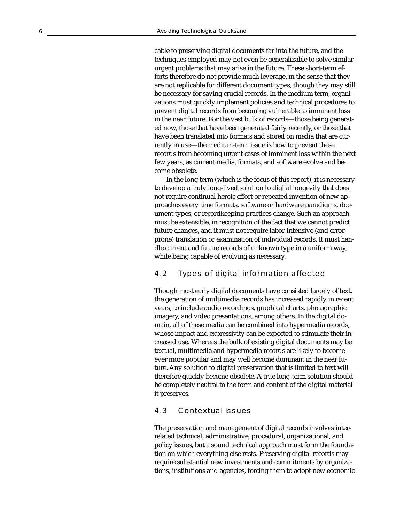cable to preserving digital documents far into the future, and the techniques employed may not even be generalizable to solve similar urgent problems that may arise in the future. These short-term efforts therefore do not provide much leverage, in the sense that they are not replicable for different document types, though they may still be necessary for saving crucial records. In the medium term, organizations must quickly implement policies and technical procedures to prevent digital records from becoming vulnerable to imminent loss in the near future. For the vast bulk of records—those being generated now, those that have been generated fairly recently, or those that have been translated into formats and stored on media that are currently in use—the medium-term issue is how to prevent these records from becoming urgent cases of imminent loss within the next few years, as current media, formats, and software evolve and become obsolete.

In the long term (which is the focus of this report), it is necessary to develop a truly long-lived solution to digital longevity that does not require continual heroic effort or repeated invention of new approaches every time formats, software or hardware paradigms, document types, or recordkeeping practices change. Such an approach must be extensible, in recognition of the fact that we cannot predict future changes, and it must not require labor-intensive (and errorprone) translation or examination of individual records. It must handle current and future records of unknown type in a uniform way, while being capable of evolving as necessary.

#### 4.2 Types of digital information affected

Though most early digital documents have consisted largely of text, the generation of multimedia records has increased rapidly in recent years, to include audio recordings, graphical charts, photographic imagery, and video presentations, among others. In the digital domain, all of these media can be combined into hypermedia records, whose impact and expressivity can be expected to stimulate their increased use. Whereas the bulk of existing digital documents may be textual, multimedia and hypermedia records are likely to become ever more popular and may well become dominant in the near future. Any solution to digital preservation that is limited to text will therefore quickly become obsolete. A true long-term solution should be completely neutral to the form and content of the digital material it preserves.

#### 4.3 Contextual issues

The preservation and management of digital records involves interrelated technical, administrative, procedural, organizational, and policy issues, but a sound technical approach must form the foundation on which everything else rests. Preserving digital records may require substantial new investments and commitments by organizations, institutions and agencies, forcing them to adopt new economic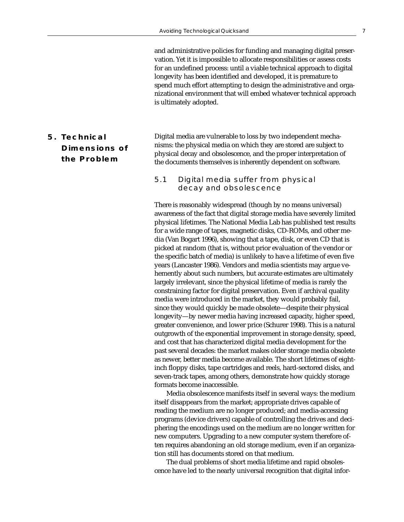and administrative policies for funding and managing digital preservation. Yet it is impossible to allocate responsibilities or assess costs for an undefined process: until a viable technical approach to digital longevity has been identified and developed, it is premature to spend much effort attempting to design the administrative and organizational environment that will embed whatever technical approach is ultimately adopted.

## **5. Technical Dimensions of the Problem**

Digital media are vulnerable to loss by two independent mechanisms: the physical media on which they are stored are subject to physical decay and obsolescence, and the proper interpretation of the documents themselves is inherently dependent on software.

#### 5.1 Digital media suffer from physical decay and obsolescence

There is reasonably widespread (though by no means universal) awareness of the fact that digital storage media have severely limited physical lifetimes. The National Media Lab has published test results for a wide range of tapes, magnetic disks, CD-ROMs, and other media (Van Bogart 1996), showing that a tape, disk, or even CD that is picked at random (that is, without prior evaluation of the vendor or the specific batch of media) is unlikely to have a lifetime of even five years (Lancaster 1986). Vendors and media scientists may argue vehemently about such numbers, but accurate estimates are ultimately largely irrelevant, since the physical lifetime of media is rarely the constraining factor for digital preservation. Even if archival quality media were introduced in the market, they would probably fail, since they would quickly be made obsolete—despite their physical longevity—by newer media having increased capacity, higher speed, greater convenience, and lower price (Schurer 1998). This is a natural outgrowth of the exponential improvement in storage density, speed, and cost that has characterized digital media development for the past several decades: the market makes older storage media obsolete as newer, better media become available. The short lifetimes of eightinch floppy disks, tape cartridges and reels, hard-sectored disks, and seven-track tapes, among others, demonstrate how quickly storage formats become inaccessible.

Media obsolescence manifests itself in several ways: the medium itself disappears from the market; appropriate drives capable of reading the medium are no longer produced; and media-accessing programs (device drivers) capable of controlling the drives and deciphering the encodings used on the medium are no longer written for new computers. Upgrading to a new computer system therefore often requires abandoning an old storage medium, even if an organization still has documents stored on that medium.

The dual problems of short media lifetime and rapid obsolescence have led to the nearly universal recognition that digital infor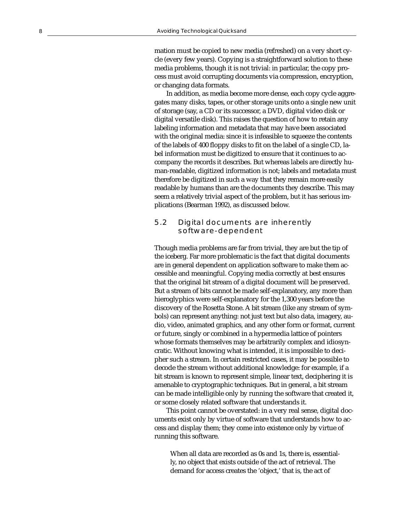mation must be copied to new media (refreshed) on a very short cycle (every few years). Copying is a straightforward solution to these media problems, though it is not trivial: in particular, the copy process must avoid corrupting documents via compression, encryption, or changing data formats.

In addition, as media become more dense, each copy cycle aggregates many disks, tapes, or other storage units onto a single new unit of storage (say, a CD or its successor, a DVD, digital video disk or digital versatile disk). This raises the question of how to retain any labeling information and metadata that may have been associated with the original media: since it is infeasible to squeeze the contents of the labels of 400 floppy disks to fit on the label of a single CD, label information must be digitized to ensure that it continues to accompany the records it describes. But whereas labels are directly human-readable, digitized information is not; labels and metadata must therefore be digitized in such a way that they remain more easily readable by humans than are the documents they describe. This may seem a relatively trivial aspect of the problem, but it has serious implications (Bearman 1992), as discussed below.

#### 5.2 Digital documents are inherently software-dependent

Though media problems are far from trivial, they are but the tip of the iceberg. Far more problematic is the fact that digital documents are in general dependent on application software to make them accessible and meaningful. Copying media correctly at best ensures that the original bit stream of a digital document will be preserved. But a stream of bits cannot be made self-explanatory, any more than hieroglyphics were self-explanatory for the 1,300 years before the discovery of the Rosetta Stone. A bit stream (like any stream of symbols) can represent anything: not just text but also data, imagery, audio, video, animated graphics, and any other form or format, current or future, singly or combined in a hypermedia lattice of pointers whose formats themselves may be arbitrarily complex and idiosyncratic. Without knowing what is intended, it is impossible to decipher such a stream. In certain restricted cases, it may be possible to decode the stream without additional knowledge: for example, if a bit stream is known to represent simple, linear text, deciphering it is amenable to cryptographic techniques. But in general, a bit stream can be made intelligible only by running the software that created it, or some closely related software that understands it.

This point cannot be overstated: in a very real sense, digital documents exist only by virtue of software that understands how to access and display them; they come into existence only by virtue of running this software.

When all data are recorded as 0s and 1s, there is, essentially, no object that exists outside of the act of retrieval. The demand for access creates the 'object,' that is, the act of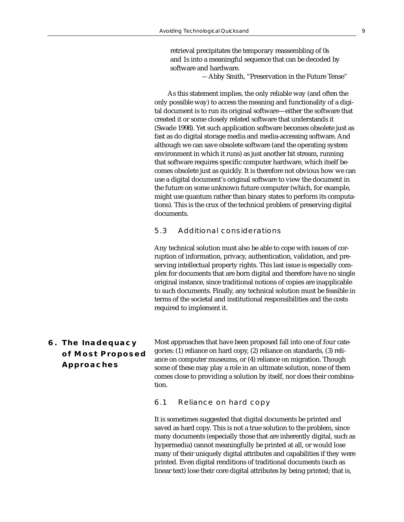retrieval precipitates the temporary reassembling of 0s and 1s into a meaningful sequence that can be decoded by software and hardware.

*—*Abby Smith, "Preservation in the Future Tense"

 As this statement implies, the only reliable way (and often the only possible way) to access the meaning and functionality of a digital document is to run its original software—either the software that created it or some closely related software that understands it (Swade 1998). Yet such application software becomes obsolete just as fast as do digital storage media and media-accessing software. And although we can save obsolete software (and the operating system environment in which it runs) as just another bit stream, running that software requires specific computer hardware, which itself becomes obsolete just as quickly. It is therefore not obvious how we can use a digital document's original software to view the document in the future on some unknown future computer (which, for example, might use quantum rather than binary states to perform its computations). This is the crux of the technical problem of preserving digital documents.

#### 5.3 Additional considerations

Any technical solution must also be able to cope with issues of corruption of information, privacy, authentication, validation, and preserving intellectual property rights. This last issue is especially complex for documents that are born digital and therefore have no single original instance, since traditional notions of copies are inapplicable to such documents. Finally, any technical solution must be feasible in terms of the societal and institutional responsibilities and the costs required to implement it.

## **6. The Inadequacy of Most Proposed Approaches**

Most approaches that have been proposed fall into one of four categories: (1) reliance on hard copy, (2) reliance on standards, (3) reliance on computer museums, or (4) reliance on migration. Though some of these may play a role in an ultimate solution, none of them comes close to providing a solution by itself, nor does their combination.

#### 6.1 Reliance on hard copy

It is sometimes suggested that digital documents be printed and saved as hard copy. This is not a true solution to the problem, since many documents (especially those that are inherently digital, such as hypermedia) cannot meaningfully be printed at all, or would lose many of their uniquely digital attributes and capabilities if they were printed. Even digital renditions of traditional documents (such as linear text) lose their core digital attributes by being printed; that is,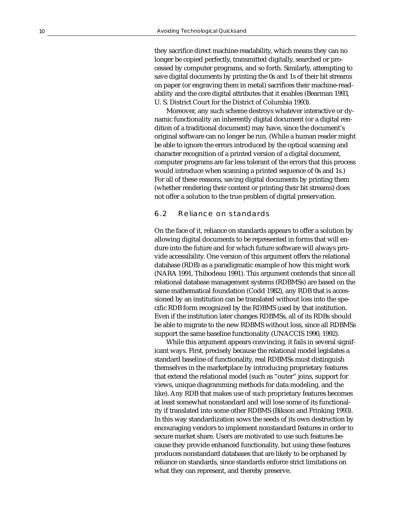they sacrifice direct machine-readability, which means they can no longer be copied perfectly, transmitted digitally, searched or processed by computer programs, and so forth. Similarly, attempting to save digital documents by printing the 0s and 1s of their bit streams on paper (or engraving them in metal) sacrifices their machine-readability and the core digital attributes that it enables (Bearman 1993, U. S. District Court for the District of Columbia 1993).

Moreover, any such scheme destroys whatever interactive or dynamic functionality an inherently digital document (or a digital rendition of a traditional document) may have, since the document's original software can no longer be run. (While a human reader might be able to ignore the errors introduced by the optical scanning and character recognition of a printed version of a digital document, computer programs are far less tolerant of the errors that this process would introduce when scanning a printed sequence of 0s and 1s.) For all of these reasons, saving digital documents by printing them (whether rendering their content or printing their bit streams) does not offer a solution to the true problem of digital preservation.

#### 6.2 Reliance on standards

On the face of it, reliance on standards appears to offer a solution by allowing digital documents to be represented in forms that will endure into the future and for which future software will always provide accessibility. One version of this argument offers the relational database (RDB) as a paradigmatic example of how this might work (NARA 1991, Thibodeau 1991). This argument contends that since all relational database management systems (RDBMSs) are based on the same mathematical foundation (Codd 1982), any RDB that is accessioned by an institution can be translated without loss into the specific RDB form recognized by the RDBMS used by that institution. Even if the institution later changes RDBMSs, all of its RDBs should be able to migrate to the new RDBMS without loss, since all RDBMSs support the same baseline functionality (UNACCIS 1990, 1992).

While this argument appears convincing, it fails in several significant ways. First, precisely because the relational model legislates a standard baseline of functionality, real RDBMSs must distinguish themselves in the marketplace by introducing proprietary features that extend the relational model (such as "outer" joins, support for views, unique diagramming methods for data modeling, and the like). Any RDB that makes use of such proprietary features becomes at least somewhat nonstandard and will lose some of its functionality if translated into some other RDBMS (Bikson and Frinking 1993). In this way standardization sows the seeds of its own destruction by encouraging vendors to implement nonstandard features in order to secure market share. Users are motivated to use such features because they provide enhanced functionality, but using these features produces nonstandard databases that are likely to be orphaned by reliance on standards, since standards enforce strict limitations on what they can represent, and thereby preserve.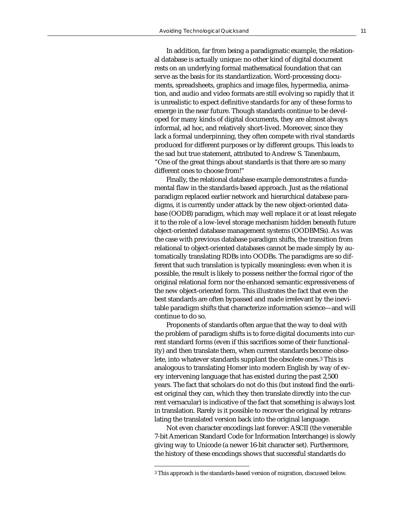In addition, far from being a paradigmatic example, the relational database is actually unique: no other kind of digital document rests on an underlying formal mathematical foundation that can serve as the basis for its standardization. Word-processing documents, spreadsheets, graphics and image files, hypermedia, animation, and audio and video formats are still evolving so rapidly that it is unrealistic to expect definitive standards for any of these forms to emerge in the near future. Though standards continue to be developed for many kinds of digital documents, they are almost always informal, ad hoc, and relatively short-lived. Moreover, since they lack a formal underpinning, they often compete with rival standards produced for different purposes or by different groups. This leads to the sad but true statement, attributed to Andrew S. Tanenbaum, "One of the great things about standards is that there are so many different ones to choose from!"

Finally, the relational database example demonstrates a fundamental flaw in the standards-based approach. Just as the relational paradigm replaced earlier network and hierarchical database paradigms, it is currently under attack by the new object-oriented database (OODB) paradigm, which may well replace it or at least relegate it to the role of a low-level storage mechanism hidden beneath future object-oriented database management systems (OODBMSs). As was the case with previous database paradigm shifts, the transition from relational to object-oriented databases cannot be made simply by automatically translating RDBs into OODBs. The paradigms are so different that such translation is typically meaningless: even when it is possible, the result is likely to possess neither the formal rigor of the original relational form nor the enhanced semantic expressiveness of the new object-oriented form. This illustrates the fact that even the best standards are often bypassed and made irrelevant by the inevitable paradigm shifts that characterize information science—and will continue to do so.

Proponents of standards often argue that the way to deal with the problem of paradigm shifts is to force digital documents into current standard forms (even if this sacrifices some of their functionality) and then translate them, when current standards become obsolete, into whatever standards supplant the obsolete ones.3 This is analogous to translating Homer into modern English by way of every intervening language that has existed during the past 2,500 years. The fact that scholars do not do this (but instead find the earliest original they can, which they then translate directly into the current vernacular) is indicative of the fact that something is always lost in translation. Rarely is it possible to recover the original by retranslating the translated version back into the original language.

Not even character encodings last forever: ASCII (the venerable 7-bit American Standard Code for Information Interchange) is slowly giving way to Unicode (a newer 16-bit character set). Furthermore, the history of these encodings shows that successful standards do

<sup>3</sup> This approach is the standards-based version of migration, discussed below.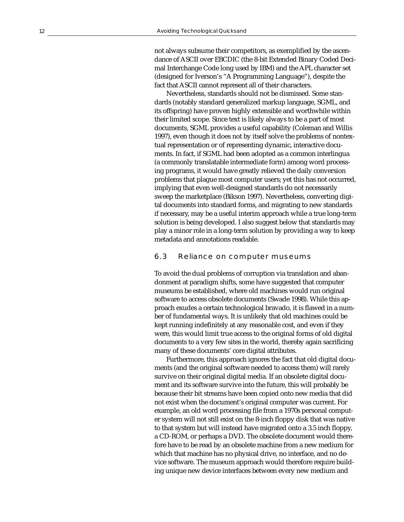not always subsume their competitors, as exemplified by the ascendance of ASCII over EBCDIC (the 8-bit Extended Binary Coded Decimal Interchange Code long used by IBM) and the APL character set (designed for Iverson's "A Programming Language"), despite the fact that ASCII cannot represent all of their characters.

Nevertheless, standards should not be dismissed. Some standards (notably standard generalized markup language, SGML, and its offspring) have proven highly extensible and worthwhile within their limited scope. Since text is likely always to be a part of most documents, SGML provides a useful capability (Coleman and Willis 1997), even though it does not by itself solve the problems of nontextual representation or of representing dynamic, interactive documents. In fact, if SGML had been adopted as a common interlingua (a commonly translatable intermediate form) among word processing programs, it would have greatly relieved the daily conversion problems that plague most computer users; yet this has not occurred, implying that even well-designed standards do not necessarily sweep the marketplace (Bikson 1997). Nevertheless, converting digital documents into standard forms, and migrating to new standards if necessary, may be a useful interim approach while a true long-term solution is being developed. I also suggest below that standards may play a minor role in a long-term solution by providing a way to keep metadata and annotations readable.

#### 6.3 Reliance on computer museums

To avoid the dual problems of corruption via translation and abandonment at paradigm shifts, some have suggested that computer museums be established, where old machines would run original software to access obsolete documents (Swade 1998). While this approach exudes a certain technological bravado, it is flawed in a number of fundamental ways. It is unlikely that old machines could be kept running indefinitely at any reasonable cost, and even if they were, this would limit true access to the original forms of old digital documents to a very few sites in the world, thereby again sacrificing many of these documents' core digital attributes.

Furthermore, this approach ignores the fact that old digital documents (and the original software needed to access them) will rarely survive on their original digital media. If an obsolete digital document and its software survive into the future, this will probably be because their bit streams have been copied onto new media that did not exist when the document's original computer was current. For example, an old word processing file from a 1970s personal computer system will not still exist on the 8-inch floppy disk that was native to that system but will instead have migrated onto a 3.5 inch floppy, a CD-ROM, or perhaps a DVD. The obsolete document would therefore have to be read by an obsolete machine from a new medium for which that machine has no physical drive, no interface, and no device software. The museum approach would therefore require building unique new device interfaces between every new medium and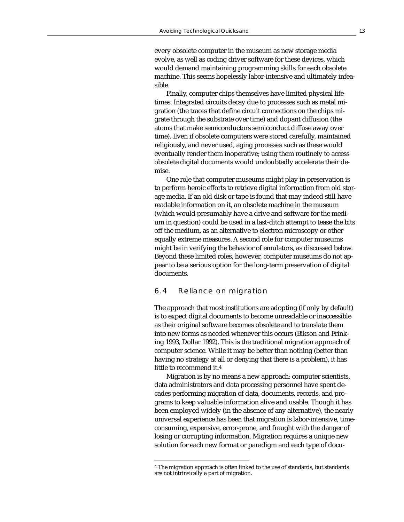every obsolete computer in the museum as new storage media evolve, as well as coding driver software for these devices, which would demand maintaining programming skills for each obsolete machine. This seems hopelessly labor-intensive and ultimately infeasible.

Finally, computer chips themselves have limited physical lifetimes. Integrated circuits decay due to processes such as metal migration (the traces that define circuit connections on the chips migrate through the substrate over time) and dopant diffusion (the atoms that make semiconductors semiconduct diffuse away over time). Even if obsolete computers were stored carefully, maintained religiously, and never used, aging processes such as these would eventually render them inoperative; using them routinely to access obsolete digital documents would undoubtedly accelerate their demise.

One role that computer museums might play in preservation is to perform heroic efforts to retrieve digital information from old storage media. If an old disk or tape is found that may indeed still have readable information on it, an obsolete machine in the museum (which would presumably have a drive and software for the medium in question) could be used in a last-ditch attempt to tease the bits off the medium, as an alternative to electron microscopy or other equally extreme measures. A second role for computer museums might be in verifying the behavior of emulators, as discussed below. Beyond these limited roles, however, computer museums do not appear to be a serious option for the long-term preservation of digital documents.

#### 6.4 Reliance on migration

The approach that most institutions are adopting (if only by default) is to expect digital documents to become unreadable or inaccessible as their original software becomes obsolete and to translate them into new forms as needed whenever this occurs (Bikson and Frinking 1993, Dollar 1992). This is the traditional migration approach of computer science. While it may be better than nothing (better than having no strategy at all or denying that there is a problem), it has little to recommend it.4

Migration is by no means a new approach: computer scientists, data administrators and data processing personnel have spent decades performing migration of data, documents, records, and programs to keep valuable information alive and usable. Though it has been employed widely (in the absence of any alternative), the nearly universal experience has been that migration is labor-intensive, timeconsuming, expensive, error-prone, and fraught with the danger of losing or corrupting information. Migration requires a unique new solution for each new format or paradigm and each type of docu-

<sup>4</sup> The migration approach is often linked to the use of standards, but standards are not intrinsically a part of migration.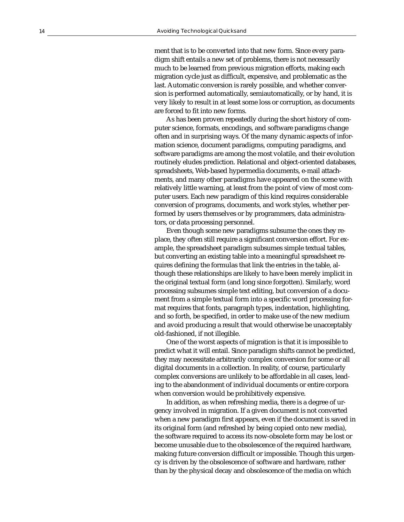ment that is to be converted into that new form. Since every paradigm shift entails a new set of problems, there is not necessarily much to be learned from previous migration efforts, making each migration cycle just as difficult, expensive, and problematic as the last. Automatic conversion is rarely possible, and whether conversion is performed automatically, semiautomatically, or by hand, it is very likely to result in at least some loss or corruption, as documents are forced to fit into new forms.

As has been proven repeatedly during the short history of computer science, formats, encodings, and software paradigms change often and in surprising ways. Of the many dynamic aspects of information science, document paradigms, computing paradigms, and software paradigms are among the most volatile, and their evolution routinely eludes prediction. Relational and object-oriented databases, spreadsheets, Web-based hypermedia documents, e-mail attachments, and many other paradigms have appeared on the scene with relatively little warning, at least from the point of view of most computer users. Each new paradigm of this kind requires considerable conversion of programs, documents, and work styles, whether performed by users themselves or by programmers, data administrators, or data processing personnel.

Even though some new paradigms subsume the ones they replace, they often still require a significant conversion effort. For example, the spreadsheet paradigm subsumes simple textual tables, but converting an existing table into a meaningful spreadsheet requires defining the formulas that link the entries in the table, although these relationships are likely to have been merely implicit in the original textual form (and long since forgotten). Similarly, word processing subsumes simple text editing, but conversion of a document from a simple textual form into a specific word processing format requires that fonts, paragraph types, indentation, highlighting, and so forth, be specified, in order to make use of the new medium and avoid producing a result that would otherwise be unacceptably old-fashioned, if not illegible.

One of the worst aspects of migration is that it is impossible to predict what it will entail. Since paradigm shifts cannot be predicted, they may necessitate arbitrarily complex conversion for some or all digital documents in a collection. In reality, of course, particularly complex conversions are unlikely to be affordable in all cases, leading to the abandonment of individual documents or entire corpora when conversion would be prohibitively expensive.

In addition, as when refreshing media, there is a degree of urgency involved in migration. If a given document is not converted when a new paradigm first appears, even if the document is saved in its original form (and refreshed by being copied onto new media), the software required to access its now-obsolete form may be lost or become unusable due to the obsolescence of the required hardware, making future conversion difficult or impossible. Though this urgency is driven by the obsolescence of software and hardware, rather than by the physical decay and obsolescence of the media on which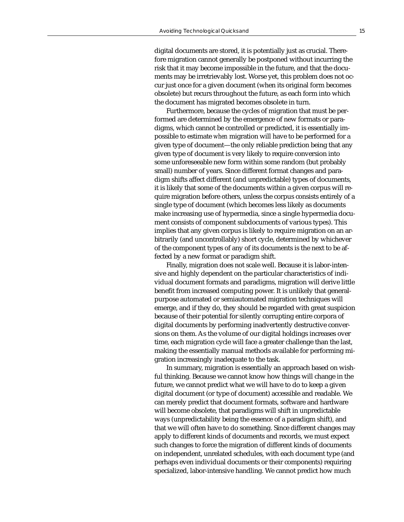digital documents are stored, it is potentially just as crucial. Therefore migration cannot generally be postponed without incurring the risk that it may become impossible in the future, and that the documents may be irretrievably lost. Worse yet, this problem does not occur just once for a given document (when its original form becomes obsolete) but recurs throughout the future, as each form into which the document has migrated becomes obsolete in turn.

Furthermore, because the cycles of migration that must be performed are determined by the emergence of new formats or paradigms, which cannot be controlled or predicted, it is essentially impossible to estimate *when* migration will have to be performed for a given type of document—the only reliable prediction being that any given type of document is very likely to require conversion into some unforeseeable new form within some random (but probably small) number of years. Since different format changes and paradigm shifts affect different (and unpredictable) types of documents, it is likely that some of the documents within a given corpus will require migration before others, unless the corpus consists entirely of a single type of document (which becomes less likely as documents make increasing use of hypermedia, since a single hypermedia document consists of component subdocuments of various types). This implies that any given corpus is likely to require migration on an arbitrarily (and uncontrollably) short cycle, determined by whichever of the component types of any of its documents is the next to be affected by a new format or paradigm shift.

Finally, migration does not scale well. Because it is labor-intensive and highly dependent on the particular characteristics of individual document formats and paradigms, migration will derive little benefit from increased computing power. It is unlikely that generalpurpose automated or semiautomated migration techniques will emerge, and if they do, they should be regarded with great suspicion because of their potential for silently corrupting entire corpora of digital documents by performing inadvertently destructive conversions on them. As the volume of our digital holdings increases over time, each migration cycle will face a greater challenge than the last, making the essentially manual methods available for performing migration increasingly inadequate to the task.

In summary, migration is essentially an approach based on wishful thinking. Because we cannot know how things will change in the future, we cannot predict what we will have to do to keep a given digital document (or type of document) accessible and readable. We can merely predict that document formats, software and hardware will become obsolete, that paradigms will shift in unpredictable ways (unpredictability being the essence of a paradigm shift), and that we will often have to do something. Since different changes may apply to different kinds of documents and records, we must expect such changes to force the migration of different kinds of documents on independent, unrelated schedules, with each document type (and perhaps even individual documents or their components) requiring specialized, labor-intensive handling. We cannot predict how much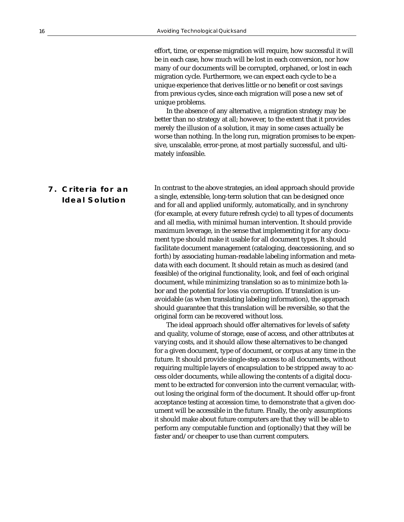effort, time, or expense migration will require, how successful it will be in each case, how much will be lost in each conversion, nor how many of our documents will be corrupted, orphaned, or lost in each migration cycle. Furthermore, we can expect each cycle to be a unique experience that derives little or no benefit or cost savings from previous cycles, since each migration will pose a new set of unique problems.

In the absence of any alternative, a migration strategy may be better than no strategy at all; however, to the extent that it provides merely the illusion of a solution, it may in some cases actually be worse than nothing. In the long run, migration promises to be expensive, unscalable, error-prone, at most partially successful, and ultimately infeasible.

## **7. Criteria for an Ideal Solution**

In contrast to the above strategies, an ideal approach should provide a single, extensible, long-term solution that can be designed once and for all and applied uniformly, automatically, and in synchrony (for example, at every future refresh cycle) to all types of documents and all media, with minimal human intervention. It should provide maximum leverage, in the sense that implementing it for any document type should make it usable for all document types. It should facilitate document management (cataloging, deaccessioning, and so forth) by associating human-readable labeling information and metadata with each document. It should retain as much as desired (and feasible) of the original functionality, look, and feel of each original document, while minimizing translation so as to minimize both labor and the potential for loss via corruption. If translation is unavoidable (as when translating labeling information), the approach should guarantee that this translation will be reversible, so that the original form can be recovered without loss.

The ideal approach should offer alternatives for levels of safety and quality, volume of storage, ease of access, and other attributes at varying costs, and it should allow these alternatives to be changed for a given document, type of document, or corpus at any time in the future. It should provide single-step access to all documents, without requiring multiple layers of encapsulation to be stripped away to access older documents, while allowing the contents of a digital document to be extracted for conversion into the current vernacular, without losing the original form of the document. It should offer up-front acceptance testing at accession time, to demonstrate that a given document will be accessible in the future. Finally, the only assumptions it should make about future computers are that they will be able to perform any computable function and (optionally) that they will be faster and/or cheaper to use than current computers.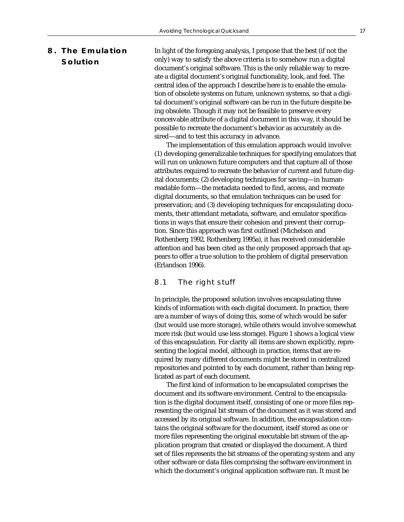## **8. The Emulation Solution**

In light of the foregoing analysis, I propose that the best (if not the only) way to satisfy the above criteria is to somehow run a digital document's original software. This is the only reliable way to recreate a digital document's original functionality, look, and feel. The central idea of the approach I describe here is to enable the emulation of obsolete systems on future, unknown systems, so that a digital document's original software can be run in the future despite being obsolete. Though it may not be feasible to preserve every conceivable attribute of a digital document in this way, it should be possible to recreate the document's behavior as accurately as desired—and to test this accuracy in advance.

The implementation of this emulation approach would involve: (1) developing generalizable techniques for specifying emulators that will run on unknown future computers and that capture all of those attributes required to recreate the behavior of current and future digital documents; (2) developing techniques for saving—in humanreadable form—the metadata needed to find, access, and recreate digital documents, so that emulation techniques can be used for preservation; and (3) developing techniques for encapsulating documents, their attendant metadata, software, and emulator specifications in ways that ensure their cohesion and prevent their corruption. Since this approach was first outlined (Michelson and Rothenberg 1992, Rothenberg 1995a), it has received considerable attention and has been cited as the only proposed approach that appears to offer a true solution to the problem of digital preservation (Erlandson 1996).

#### 8.1 The right stuff

In principle, the proposed solution involves encapsulating three kinds of information with each digital document. In practice, there are a number of ways of doing this, some of which would be safer (but would use more storage), while others would involve somewhat more risk (but would use less storage). Figure 1 shows a logical view of this encapsulation. For clarity all items are shown explicitly, representing the logical model, although in practice, items that are required by many different documents might be stored in centralized repositories and pointed to by each document, rather than being replicated as part of each document.

The first kind of information to be encapsulated comprises the document and its software environment. Central to the encapsulation is the digital document itself, consisting of one or more files representing the original bit stream of the document as it was stored and accessed by its original software. In addition, the encapsulation contains the original software for the document, itself stored as one or more files representing the original executable bit stream of the application program that created or displayed the document. A third set of files represents the bit streams of the operating system and any other software or data files comprising the software environment in which the document's original application software ran. It must be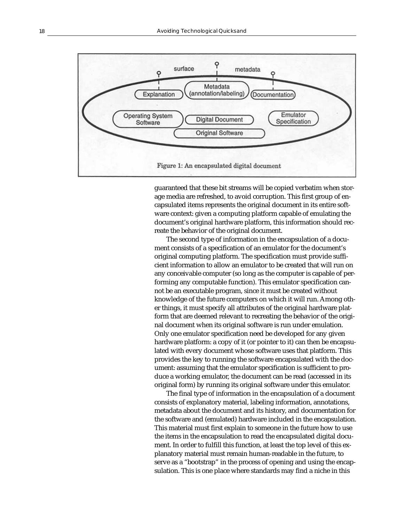

guaranteed that these bit streams will be copied verbatim when storage media are refreshed, to avoid corruption. This first group of encapsulated items represents the original document in its entire software context: given a computing platform capable of emulating the document's original hardware platform, this information should recreate the behavior of the original document.

The second type of information in the encapsulation of a document consists of a specification of an emulator for the document's original computing platform. The specification must provide sufficient information to allow an emulator to be created that will run on any conceivable computer (so long as the computer is capable of performing any computable function). This emulator specification cannot be an executable program, since it must be created without knowledge of the future computers on which it will run. Among other things, it must specify all attributes of the original hardware platform that are deemed relevant to recreating the behavior of the original document when its original software is run under emulation. Only one emulator specification need be developed for any given hardware platform: a copy of it (or pointer to it) can then be encapsulated with every document whose software uses that platform. This provides the key to running the software encapsulated with the document: assuming that the emulator specification is sufficient to produce a working emulator, the document can be read (accessed in its original form) by running its original software under this emulator.

The final type of information in the encapsulation of a document consists of explanatory material, labeling information, annotations, metadata about the document and its history, and documentation for the software and (emulated) hardware included in the encapsulation. This material must first explain to someone in the future how to use the items in the encapsulation to read the encapsulated digital document. In order to fulfill this function, at least the top level of this explanatory material must remain human-readable in the future, to serve as a "bootstrap" in the process of opening and using the encapsulation. This is one place where standards may find a niche in this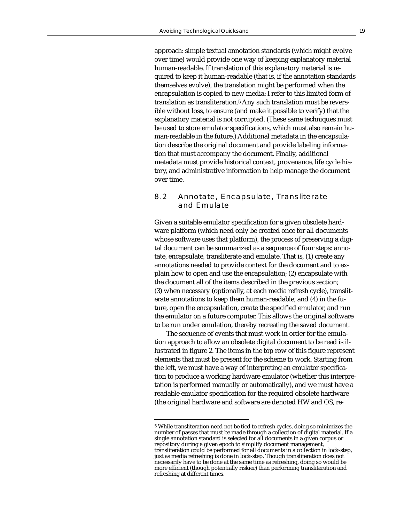approach: simple textual annotation standards (which might evolve over time) would provide one way of keeping explanatory material human-readable. If translation of this explanatory material is required to keep it human-readable (that is, if the annotation standards themselves evolve), the translation might be performed when the encapsulation is copied to new media: I refer to this limited form of translation as transliteration.5 Any such translation must be reversible without loss, to ensure (and make it possible to verify) that the explanatory material is not corrupted. (These same techniques must be used to store emulator specifications, which must also remain human-readable in the future.) Additional metadata in the encapsulation describe the original document and provide labeling information that must accompany the document. Finally, additional metadata must provide historical context, provenance, life cycle history, and administrative information to help manage the document over time.

#### 8.2 Annotate, Encapsulate, Transliterate and Emulate

Given a suitable emulator specification for a given obsolete hardware platform (which need only be created once for all documents whose software uses that platform), the process of preserving a digital document can be summarized as a sequence of four steps: annotate, encapsulate, transliterate and emulate. That is, (1) create any annotations needed to provide context for the document and to explain how to open and use the encapsulation; (2) encapsulate with the document all of the items described in the previous section; (3) when necessary (optionally, at each media refresh cycle), transliterate annotations to keep them human-readable; and (4) in the future, open the encapsulation, create the specified emulator, and run the emulator on a future computer. This allows the original software to be run under emulation, thereby recreating the saved document.

The sequence of events that must work in order for the emulation approach to allow an obsolete digital document to be read is illustrated in figure 2. The items in the top row of this figure represent elements that must be present for the scheme to work. Starting from the left, we must have a way of interpreting an emulator specification to produce a working hardware emulator (whether this interpretation is performed manually or automatically), and we must have a readable emulator specification for the required obsolete hardware (the original hardware and software are denoted HW and OS, re-

<sup>5</sup> While transliteration need not be tied to refresh cycles, doing so minimizes the number of passes that must be made through a collection of digital material. If a single annotation standard is selected for all documents in a given corpus or repository during a given epoch to simplify document management, transliteration could be performed for all documents in a collection in lock-step, just as media refreshing is done in lock-step. Though transliteration does not necessarily have to be done at the same time as refreshing, doing so would be more efficient (though potentially riskier) than performing transliteration and refreshing at different times.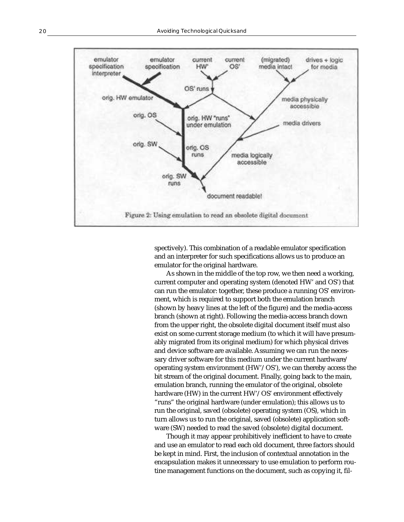

spectively). This combination of a readable emulator specification and an interpreter for such specifications allows us to produce an emulator for the original hardware.

As shown in the middle of the top row, we then need a working, current computer and operating system (denoted HW' and OS') that can run the emulator: together, these produce a running OS' environment, which is required to support both the emulation branch (shown by heavy lines at the left of the figure) and the media-access branch (shown at right). Following the media-access branch down from the upper right, the obsolete digital document itself must also exist on some current storage medium (to which it will have presumably migrated from its original medium) for which physical drives and device software are available. Assuming we can run the necessary driver software for this medium under the current hardware/ operating system environment (HW'/OS'), we can thereby access the bit stream of the original document. Finally, going back to the main, emulation branch, running the emulator of the original, obsolete hardware (HW) in the current HW'/OS' environment effectively "runs" the original hardware (under emulation); this allows us to run the original, saved (obsolete) operating system (OS), which in turn allows us to run the original, saved (obsolete) application software (SW) needed to read the saved (obsolete) digital document.

Though it may appear prohibitively inefficient to have to create and use an emulator to read each old document, three factors should be kept in mind. First, the inclusion of contextual annotation in the encapsulation makes it unnecessary to use emulation to perform routine management functions on the document, such as copying it, fil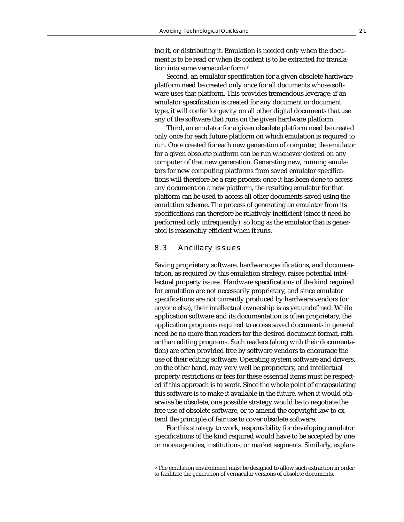ing it, or distributing it. Emulation is needed only when the document is to be read or when its content is to be extracted for translation into some vernacular form.6

Second, an emulator specification for a given obsolete hardware platform need be created only once for all documents whose software uses that platform. This provides tremendous leverage: if an emulator specification is created for any document or document type, it will confer longevity on all other digital documents that use any of the software that runs on the given hardware platform.

Third, an emulator for a given obsolete platform need be created only once for each future platform on which emulation is required to run. Once created for each new generation of computer, the emulator for a given obsolete platform can be run whenever desired on any computer of that new generation. Generating new, running emulators for new computing platforms from saved emulator specifications will therefore be a rare process: once it has been done to access any document on a new platform, the resulting emulator for that platform can be used to access all other documents saved using the emulation scheme. The process of generating an emulator from its specifications can therefore be relatively inefficient (since it need be performed only infrequently), so long as the emulator that is generated is reasonably efficient when it runs.

#### 8.3 Ancillary issues

Saving proprietary software, hardware specifications, and documentation, as required by this emulation strategy, raises potential intellectual property issues. Hardware specifications of the kind required for emulation are not necessarily proprietary, and since emulator specifications are not currently produced by hardware vendors (or anyone else), their intellectual ownership is as yet undefined. While application software and its documentation is often proprietary, the application programs required to access saved documents in general need be no more than readers for the desired document format, rather than editing programs. Such readers (along with their documentation) are often provided free by software vendors to encourage the use of their editing software. Operating system software and drivers, on the other hand, may very well be proprietary, and intellectual property restrictions or fees for these essential items must be respected if this approach is to work. Since the whole point of encapsulating this software is to make it available in the future, when it would otherwise be obsolete, one possible strategy would be to negotiate the free use of obsolete software, or to amend the copyright law to extend the principle of fair use to cover obsolete software.

For this strategy to work, responsibility for developing emulator specifications of the kind required would have to be accepted by one or more agencies, institutions, or market segments. Similarly, explan-

<sup>6</sup> The emulation environment must be designed to allow such extraction in order to facilitate the generation of vernacular versions of obsolete documents.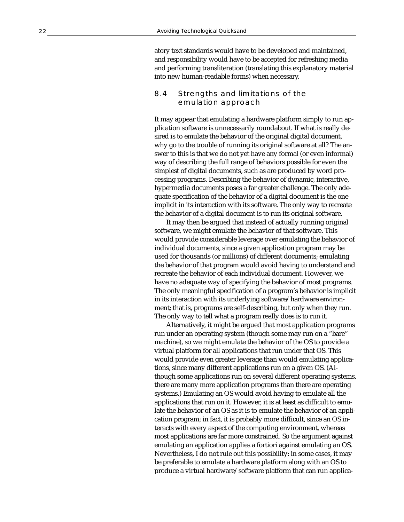atory text standards would have to be developed and maintained, and responsibility would have to be accepted for refreshing media and performing transliteration (translating this explanatory material into new human-readable forms) when necessary.

#### 8.4 Strengths and limitations of the emulation approach

It may appear that emulating a hardware platform simply to run application software is unnecessarily roundabout. If what is really desired is to emulate the behavior of the original digital document, why go to the trouble of running its original software at all? The answer to this is that we do not yet have any formal (or even informal) way of describing the full range of behaviors possible for even the simplest of digital documents, such as are produced by word processing programs. Describing the behavior of dynamic, interactive, hypermedia documents poses a far greater challenge. The only adequate specification of the behavior of a digital document is the one implicit in its interaction with its software. The only way to recreate the behavior of a digital document is to run its original software.

It may then be argued that instead of actually running original software, we might emulate the behavior of that software. This would provide considerable leverage over emulating the behavior of individual documents, since a given application program may be used for thousands (or millions) of different documents; emulating the behavior of that program would avoid having to understand and recreate the behavior of each individual document. However, we have no adequate way of specifying the behavior of most programs. The only meaningful specification of a program's behavior is implicit in its interaction with its underlying software/hardware environment; that is, programs are self-describing, but only when they run. The only way to tell what a program really does is to run it.

Alternatively, it might be argued that most application programs run under an operating system (though some may run on a "bare" machine), so we might emulate the behavior of the OS to provide a virtual platform for all applications that run under that OS. This would provide even greater leverage than would emulating applications, since many different applications run on a given OS. (Although some applications run on several different operating systems, there are many more application programs than there are operating systems.) Emulating an OS would avoid having to emulate all the applications that run on it. However, it is at least as difficult to emulate the behavior of an OS as it is to emulate the behavior of an application program; in fact, it is probably more difficult, since an OS interacts with every aspect of the computing environment, whereas most applications are far more constrained. So the argument against emulating an application applies a fortiori against emulating an OS. Nevertheless, I do not rule out this possibility: in some cases, it may be preferable to emulate a hardware platform along with an OS to produce a virtual hardware/software platform that can run applica-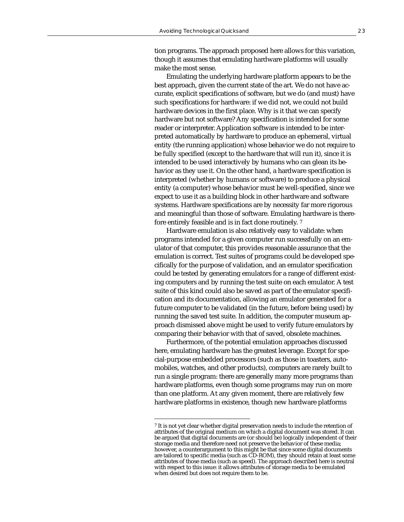tion programs. The approach proposed here allows for this variation, though it assumes that emulating hardware platforms will usually make the most sense.

Emulating the underlying hardware platform appears to be the best approach, given the current state of the art. We do not have accurate, explicit specifications of software, but we do (and must) have such specifications for hardware: if we did not, we could not build hardware devices in the first place. Why is it that we can specify hardware but not software? Any specification is intended for some reader or interpreter. Application software is intended to be interpreted automatically by hardware to produce an ephemeral, virtual entity (the running application) whose behavior we do not require to be fully specified (except to the hardware that will run it), since it is intended to be used interactively by humans who can glean its behavior as they use it. On the other hand, a hardware specification is interpreted (whether by humans or software) to produce a physical entity (a computer) whose behavior must be well-specified, since we expect to use it as a building block in other hardware and software systems. Hardware specifications are by necessity far more rigorous and meaningful than those of software. Emulating hardware is therefore entirely feasible and is in fact done routinely. 7

Hardware emulation is also relatively easy to validate: when programs intended for a given computer run successfully on an emulator of that computer, this provides reasonable assurance that the emulation is correct. Test suites of programs could be developed specifically for the purpose of validation, and an emulator specification could be tested by generating emulators for a range of different existing computers and by running the test suite on each emulator. A test suite of this kind could also be saved as part of the emulator specification and its documentation, allowing an emulator generated for a future computer to be validated (in the future, before being used) by running the saved test suite. In addition, the computer museum approach dismissed above might be used to verify future emulators by comparing their behavior with that of saved, obsolete machines.

Furthermore, of the potential emulation approaches discussed here, emulating hardware has the greatest leverage. Except for special-purpose embedded processors (such as those in toasters, automobiles, watches, and other products), computers are rarely built to run a single program: there are generally many more programs than hardware platforms, even though some programs may run on more than one platform. At any given moment, there are relatively few hardware platforms in existence, though new hardware platforms

<sup>7</sup> It is not yet clear whether digital preservation needs to include the retention of attributes of the original medium on which a digital document was stored. It can be argued that digital documents are (or should be) logically independent of their storage media and therefore need not preserve the behavior of these media; however, a counterargument to this might be that since some digital documents are tailored to specific media (such as CD-ROM), they should retain at least some attributes of those media (such as speed). The approach described here is neutral with respect to this issue: it allows attributes of storage media to be emulated when desired but does not require them to be.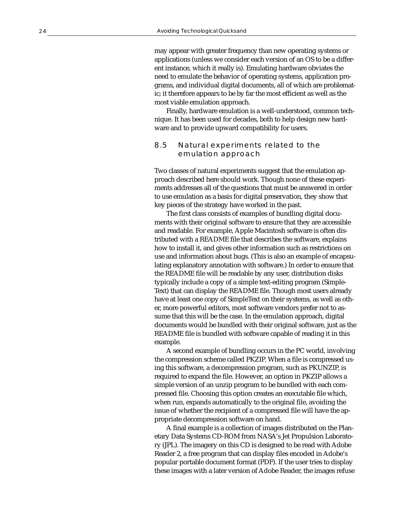may appear with greater frequency than new operating systems or applications (unless we consider each version of an OS to be a different instance, which it really is). Emulating hardware obviates the need to emulate the behavior of operating systems, application programs, and individual digital documents, all of which are problematic; it therefore appears to be by far the most efficient as well as the most viable emulation approach.

Finally, hardware emulation is a well-understood, common technique. It has been used for decades, both to help design new hardware and to provide upward compatibility for users.

#### 8.5 Natural experiments related to the emulation approach

Two classes of natural experiments suggest that the emulation approach described here should work. Though none of these experiments addresses all of the questions that must be answered in order to use emulation as a basis for digital preservation, they show that key pieces of the strategy have worked in the past.

The first class consists of examples of bundling digital documents with their original software to ensure that they are accessible and readable. For example, Apple Macintosh software is often distributed with a README file that describes the software, explains how to install it, and gives other information such as restrictions on use and information about bugs. (This is also an example of encapsulating explanatory annotation with software.) In order to ensure that the README file will be readable by any user, distribution disks typically include a copy of a simple text-editing program (Simple-Text) that can display the README file. Though most users already have at least one copy of SimpleText on their systems, as well as other, more powerful editors, most software vendors prefer not to assume that this will be the case. In the emulation approach, digital documents would be bundled with their original software, just as the README file is bundled with software capable of reading it in this example.

A second example of bundling occurs in the PC world, involving the compression scheme called PKZIP. When a file is compressed using this software, a decompression program, such as PKUNZIP, is required to expand the file. However, an option in PKZIP allows a simple version of an unzip program to be bundled with each compressed file. Choosing this option creates an executable file which, when run, expands automatically to the original file, avoiding the issue of whether the recipient of a compressed file will have the appropriate decompression software on hand.

A final example is a collection of images distributed on the Planetary Data Systems CD-ROM from NASA's Jet Propulsion Laboratory (JPL). The imagery on this CD is designed to be read with Adobe Reader 2, a free program that can display files encoded in Adobe's popular portable document format (PDF). If the user tries to display these images with a later version of Adobe Reader, the images refuse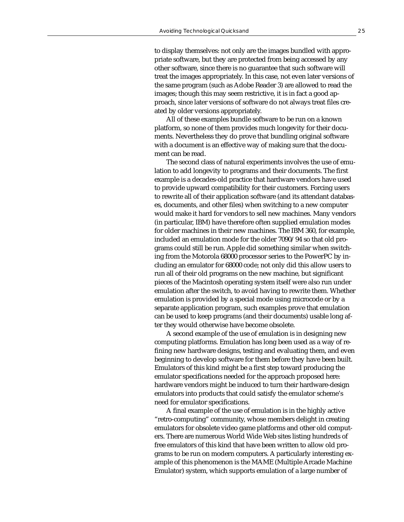to display themselves: not only are the images bundled with appropriate software, but they are protected from being accessed by any other software, since there is no guarantee that such software will treat the images appropriately. In this case, not even later versions of the same program (such as Adobe Reader 3) are allowed to read the images; though this may seem restrictive, it is in fact a good approach, since later versions of software do not always treat files created by older versions appropriately.

All of these examples bundle software to be run on a known platform, so none of them provides much longevity for their documents. Nevertheless they do prove that bundling original software with a document is an effective way of making sure that the document can be read.

The second class of natural experiments involves the use of emulation to add longevity to programs and their documents. The first example is a decades-old practice that hardware vendors have used to provide upward compatibility for their customers. Forcing users to rewrite all of their application software (and its attendant databases, documents, and other files) when switching to a new computer would make it hard for vendors to sell new machines. Many vendors (in particular, IBM) have therefore often supplied emulation modes for older machines in their new machines. The IBM 360, for example, included an emulation mode for the older 7090/94 so that old programs could still be run. Apple did something similar when switching from the Motorola 68000 processor series to the PowerPC by including an emulator for 68000 code; not only did this allow users to run all of their old programs on the new machine, but significant pieces of the Macintosh operating system itself were also run under emulation after the switch, to avoid having to rewrite them. Whether emulation is provided by a special mode using microcode or by a separate application program, such examples prove that emulation can be used to keep programs (and their documents) usable long after they would otherwise have become obsolete.

A second example of the use of emulation is in designing new computing platforms. Emulation has long been used as a way of refining new hardware designs, testing and evaluating them, and even beginning to develop software for them before they have been built. Emulators of this kind might be a first step toward producing the emulator specifications needed for the approach proposed here: hardware vendors might be induced to turn their hardware-design emulators into products that could satisfy the emulator scheme's need for emulator specifications.

A final example of the use of emulation is in the highly active "retro-computing" community, whose members delight in creating emulators for obsolete video game platforms and other old computers. There are numerous World Wide Web sites listing hundreds of free emulators of this kind that have been written to allow old programs to be run on modern computers. A particularly interesting example of this phenomenon is the MAME (Multiple Arcade Machine Emulator) system, which supports emulation of a large number of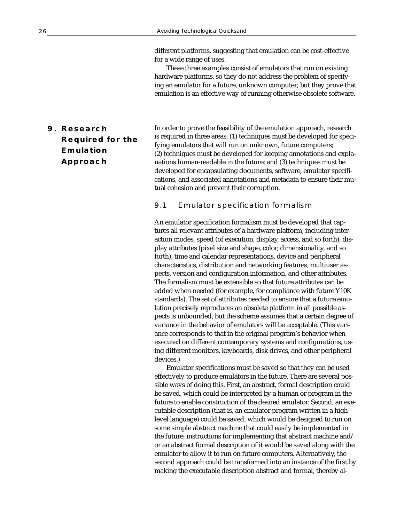different platforms, suggesting that emulation can be cost-effective for a wide range of uses.

These three examples consist of emulators that run on existing hardware platforms, so they do not address the problem of specifying an emulator for a future, unknown computer; but they prove that emulation is an effective way of running otherwise obsolete software.

## **9. Research Required for the Emulation Approach**

In order to prove the feasibility of the emulation approach, research is required in three areas: (1) techniques must be developed for specifying emulators that will run on unknown, future computers; (2) techniques must be developed for keeping annotations and explanations human-readable in the future; and (3) techniques must be developed for encapsulating documents, software, emulator specifications, and associated annotations and metadata to ensure their mutual cohesion and prevent their corruption.

#### 9.1 Emulator specification formalism

An emulator specification formalism must be developed that captures all relevant attributes of a hardware platform, including interaction modes, speed (of execution, display, access, and so forth), display attributes (pixel size and shape, color, dimensionality, and so forth), time and calendar representations, device and peripheral characteristics, distribution and networking features, multiuser aspects, version and configuration information, and other attributes. The formalism must be extensible so that future attributes can be added when needed (for example, for compliance with future Y10K standards). The set of attributes needed to ensure that a future emulation precisely reproduces an obsolete platform in all possible aspects is unbounded, but the scheme assumes that a certain degree of variance in the behavior of emulators will be acceptable. (This variance corresponds to that in the original program's behavior when executed on different contemporary systems and configurations, using different monitors, keyboards, disk drives, and other peripheral devices.)

Emulator specifications must be saved so that they can be used effectively to produce emulators in the future. There are several possible ways of doing this. First, an abstract, formal description could be saved, which could be interpreted by a human or program in the future to enable construction of the desired emulator. Second, an executable description (that is, an emulator program written in a highlevel language) could be saved, which would be designed to run on some simple abstract machine that could easily be implemented in the future; instructions for implementing that abstract machine and/ or an abstract formal description of it would be saved along with the emulator to allow it to run on future computers. Alternatively, the second approach could be transformed into an instance of the first by making the executable description abstract and formal, thereby al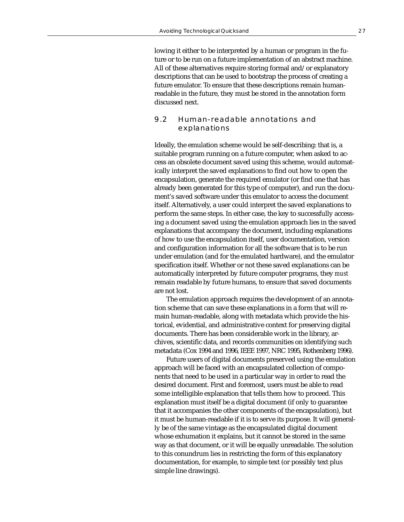lowing it either to be interpreted by a human or program in the future or to be run on a future implementation of an abstract machine. All of these alternatives require storing formal and/or explanatory descriptions that can be used to bootstrap the process of creating a future emulator. To ensure that these descriptions remain humanreadable in the future, they must be stored in the annotation form discussed next.

#### 9.2 Human-readable annotations and explanations

Ideally, the emulation scheme would be self-describing: that is, a suitable program running on a future computer, when asked to access an obsolete document saved using this scheme, would automatically interpret the saved explanations to find out how to open the encapsulation, generate the required emulator (or find one that has already been generated for this type of computer), and run the document's saved software under this emulator to access the document itself. Alternatively, a user could interpret the saved explanations to perform the same steps. In either case, the key to successfully accessing a document saved using the emulation approach lies in the saved explanations that accompany the document, including explanations of how to use the encapsulation itself, user documentation, version and configuration information for all the software that is to be run under emulation (and for the emulated hardware), and the emulator specification itself. Whether or not these saved explanations can be automatically interpreted by future computer programs, they *must* remain readable by future humans, to ensure that saved documents are not lost.

The emulation approach requires the development of an annotation scheme that can save these explanations in a form that will remain human-readable, along with metadata which provide the historical, evidential, and administrative context for preserving digital documents. There has been considerable work in the library, archives, scientific data, and records communities on identifying such metadata (Cox 1994 and 1996, IEEE 1997, NRC 1995, Rothenberg 1996).

Future users of digital documents preserved using the emulation approach will be faced with an encapsulated collection of components that need to be used in a particular way in order to read the desired document. First and foremost, users must be able to read some intelligible explanation that tells them how to proceed. This explanation must itself be a digital document (if only to guarantee that it accompanies the other components of the encapsulation), but it must be human-readable if it is to serve its purpose. It will generally be of the same vintage as the encapsulated digital document whose exhumation it explains, but it cannot be stored in the same way as that document, or it will be equally unreadable. The solution to this conundrum lies in restricting the form of this explanatory documentation, for example, to simple text (or possibly text plus simple line drawings).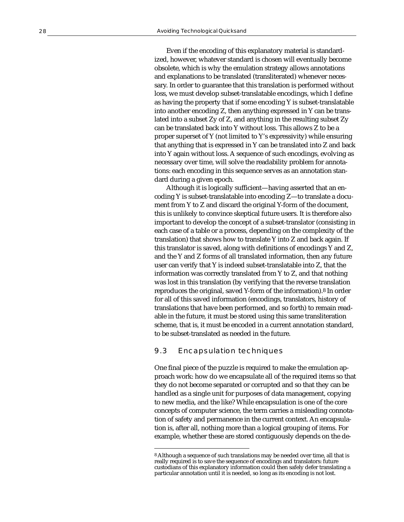Even if the encoding of this explanatory material is standardized, however, whatever standard is chosen will eventually become obsolete, which is why the emulation strategy allows annotations and explanations to be translated (transliterated) whenever necessary. In order to guarantee that this translation is performed without loss, we must develop subset-translatable encodings, which I define as having the property that if some encoding Y is subset-translatable into another encoding Z, then anything expressed in Y can be translated into a subset Zy of Z, and anything in the resulting subset Zy can be translated back into Y without loss. This allows Z to be a proper superset of Y (not limited to Y's expressivity) while ensuring that anything that is expressed in Y can be translated into Z and back into Y again without loss. A sequence of such encodings, evolving as necessary over time, will solve the readability problem for annotations: each encoding in this sequence serves as an annotation standard during a given epoch.

Although it is logically sufficient—having asserted that an encoding Y is subset-translatable into encoding Z—to translate a document from Y to Z and discard the original Y-form of the document, this is unlikely to convince skeptical future users. It is therefore also important to develop the concept of a subset-translator (consisting in each case of a table or a process, depending on the complexity of the translation) that shows how to translate Y into Z and back again. If this translator is saved, along with definitions of encodings Y and Z, and the Y and Z forms of all translated information, then any future user can verify that Y is indeed subset-translatable into Z, that the information was correctly translated from Y to Z, and that nothing was lost in this translation (by verifying that the reverse translation reproduces the original, saved Y-form of the information). 8 In order for all of this saved information (encodings, translators, history of translations that have been performed, and so forth) to remain readable in the future, it must be stored using this same transliteration scheme, that is, it must be encoded in a current annotation standard, to be subset-translated as needed in the future.

#### 9.3 Encapsulation techniques

One final piece of the puzzle is required to make the emulation approach work: how do we encapsulate all of the required items so that they do not become separated or corrupted and so that they can be handled as a single unit for purposes of data management, copying to new media, and the like? While encapsulation is one of the core concepts of computer science, the term carries a misleading connotation of safety and permanence in the current context. An encapsulation is, after all, nothing more than a logical grouping of items. For example, whether these are stored contiguously depends on the de-

<sup>8</sup> Although a sequence of such translations may be needed over time, all that is really required is to save the sequence of encodings and translators: future custodians of this explanatory information could then safely defer translating a particular annotation until it is needed, so long as its encoding is not lost.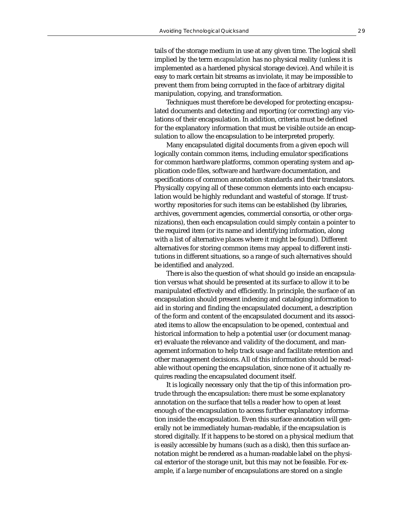tails of the storage medium in use at any given time. The logical shell implied by the term *encapsulation* has no physical reality (unless it is implemented as a hardened physical storage device). And while it is easy to mark certain bit streams as inviolate, it may be impossible to prevent them from being corrupted in the face of arbitrary digital manipulation, copying, and transformation.

Techniques must therefore be developed for protecting encapsulated documents and detecting and reporting (or correcting) any violations of their encapsulation. In addition, criteria must be defined for the explanatory information that must be visible *outside* an encapsulation to allow the encapsulation to be interpreted properly.

Many encapsulated digital documents from a given epoch will logically contain common items, including emulator specifications for common hardware platforms, common operating system and application code files, software and hardware documentation, and specifications of common annotation standards and their translators. Physically copying all of these common elements into each encapsulation would be highly redundant and wasteful of storage. If trustworthy repositories for such items can be established (by libraries, archives, government agencies, commercial consortia, or other organizations), then each encapsulation could simply contain a pointer to the required item (or its name and identifying information, along with a list of alternative places where it might be found). Different alternatives for storing common items may appeal to different institutions in different situations, so a range of such alternatives should be identified and analyzed.

There is also the question of what should go inside an encapsulation versus what should be presented at its surface to allow it to be manipulated effectively and efficiently. In principle, the surface of an encapsulation should present indexing and cataloging information to aid in storing and finding the encapsulated document, a description of the form and content of the encapsulated document and its associated items to allow the encapsulation to be opened, contextual and historical information to help a potential user (or document manager) evaluate the relevance and validity of the document, and management information to help track usage and facilitate retention and other management decisions. All of this information should be readable without opening the encapsulation, since none of it actually requires reading the encapsulated document itself.

It is logically necessary only that the tip of this information protrude through the encapsulation: there must be some explanatory annotation on the surface that tells a reader how to open at least enough of the encapsulation to access further explanatory information inside the encapsulation. Even this surface annotation will generally not be immediately human-readable, if the encapsulation is stored digitally. If it happens to be stored on a physical medium that is easily accessible by humans (such as a disk), then this surface annotation might be rendered as a human-readable label on the physical exterior of the storage unit, but this may not be feasible. For example, if a large number of encapsulations are stored on a single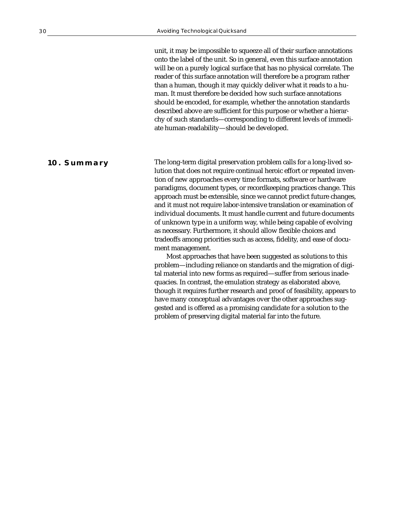unit, it may be impossible to squeeze all of their surface annotations onto the label of the unit. So in general, even this surface annotation will be on a purely logical surface that has no physical correlate. The reader of this surface annotation will therefore be a program rather than a human, though it may quickly deliver what it reads to a human. It must therefore be decided how such surface annotations should be encoded, for example, whether the annotation standards described above are sufficient for this purpose or whether a hierarchy of such standards—corresponding to different levels of immediate human-readability—should be developed.

The long-term digital preservation problem calls for a long-lived solution that does not require continual heroic effort or repeated invention of new approaches every time formats, software or hardware paradigms, document types, or recordkeeping practices change. This approach must be extensible, since we cannot predict future changes, and it must not require labor-intensive translation or examination of individual documents. It must handle current and future documents of unknown type in a uniform way, while being capable of evolving as necessary. Furthermore, it should allow flexible choices and tradeoffs among priorities such as access, fidelity, and ease of document management. **10. Summary**

Most approaches that have been suggested as solutions to this problem—including reliance on standards and the migration of digital material into new forms as required—suffer from serious inadequacies. In contrast, the emulation strategy as elaborated above, though it requires further research and proof of feasibility, appears to have many conceptual advantages over the other approaches suggested and is offered as a promising candidate for a solution to the problem of preserving digital material far into the future.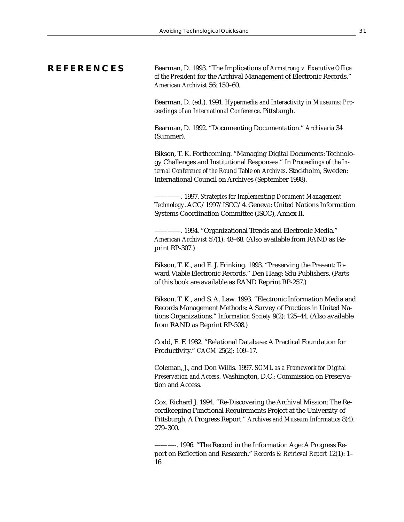#### **REFERENCES**

Bearman, D. 1993. "The Implications of *Armstrong v. Executive Office of the President* for the Archival Management of Electronic Records." *American Archivist* 56: 150–60.

Bearman, D. (ed.). 1991. *Hypermedia and Interactivity in Museums: Proceedings of an International Conference*. Pittsburgh.

Bearman, D. 1992. "Documenting Documentation." *Archivaria* 34 (Summer).

Bikson, T. K. Forthcoming. "Managing Digital Documents: Technology Challenges and Institutional Responses." In *Proceedings of the Internal Conference of the Round Table on Archives*. Stockholm, Sweden: International Council on Archives (September 1998).

————. 1997. *Strategies for Implementing Document Management Technology*. ACC/1997/ISCC/4. Geneva: United Nations Information Systems Coordination Committee (ISCC), Annex II.

————. 1994. "Organizational Trends and Electronic Media." *American Archivist* 57(1): 48–68. (Also available from RAND as Reprint RP-307.)

Bikson, T. K., and E. J. Frinking. 1993. "Preserving the Present: Toward Viable Electronic Records." Den Haag: Sdu Publishers. (Parts of this book are available as RAND Reprint RP-257.)

Bikson, T. K., and S. A. Law. 1993. "Electronic Information Media and Records Management Methods: A Survey of Practices in United Nations Organizations." *Information Society* 9(2): 125–44. (Also available from RAND as Reprint RP-508.)

Codd, E. F. 1982. "Relational Database: A Practical Foundation for Productivity." *CACM* 25(2): 109–17.

Coleman, J., and Don Willis. 1997. *SGML as a Framework for Digital Preservation and Access*. Washington, D.C.: Commission on Preservation and Access.

Cox, Richard J. 1994. "Re-Discovering the Archival Mission: The Recordkeeping Functional Requirements Project at the University of Pittsburgh, A Progress Report." *Archives and Museum Informatics* 8(4): 279–300.

<sup>———-. 1996. &</sup>quot;The Record in the Information Age: A Progress Report on Reflection and Research." *Records & Retrieval Report* 12(1): 1– 16.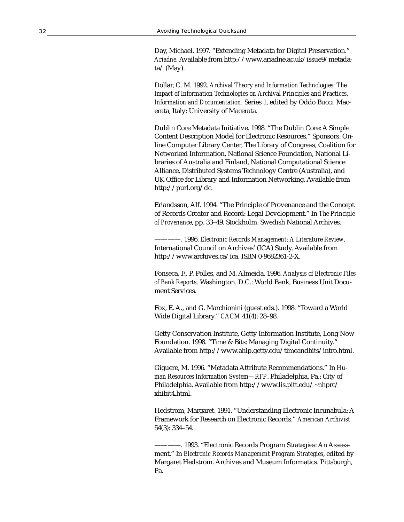Day, Michael. 1997. "Extending Metadata for Digital Preservation." *Ariadne.* Available from http://www.ariadne.ac.uk/issue9/metada $ta/$  (May).

Dollar, C. M. 1992. *Archival Theory and Information Technologies: The Impact of Information Technologies on Archival Principles and Practices, Information and Documentation*. Series 1, edited by Oddo Bucci. Macerata, Italy: University of Macerata.

Dublin Core Metadata Initiative. 1998. "The Dublin Core: A Simple Content Description Model for Electronic Resources." Sponsors: Online Computer Library Center, The Library of Congress, Coalition for Networked Information, National Science Foundation, National Libraries of Australia and Finland, National Computational Science Alliance, Distributed Systems Technology Centre (Australia), and UK Office for Library and Information Networking. Available from http://purl.org/dc.

Erlandsson, Alf. 1994. "The Principle of Provenance and the Concept of Records Creator and Record: Legal Development." In *The Principle of Provenance*, pp. 33–49. Stockholm: Swedish National Archives.

————. 1996. *Electronic Records Management: A Literature Review*. International Council on Archives' (ICA) Study. Available from http://www.archives.ca/ica. ISBN 0-9682361-2-X.

Fonseca, F., P. Polles, and M. Almeida. 1996. *Analysis of Electronic Files of Bank Reports*. Washington. D.C.: World Bank, Business Unit Document Services.

Fox, E. A., and G. Marchionini (guest eds.). 1998. "Toward a World Wide Digital Library." *CACM* 41(4): 28–98.

Getty Conservation Institute, Getty Information Institute, Long Now Foundation. 1998. "Time & Bits: Managing Digital Continuity." Available from http://www.ahip.getty.edu/timeandbits/intro.html.

Giguere, M. 1996. "Metadata Attribute Recommendations." In *Human Resources Information System—RFP*. Philadelphia, Pa.: City of Philadelphia. Available from http://www.lis.pitt.edu/~nhprc/ xhibit4.html.

Hedstrom, Margaret. 1991. "Understanding Electronic Incunabula: A Framework for Research on Electronic Records." *American Archivist* 54(3): 334–54.

<sup>————. 1993. &</sup>quot;Electronic Records Program Strategies: An Assessment." In *Electronic Records Management Program Strategies*, edited by Margaret Hedstrom. Archives and Museum Informatics. Pittsburgh, Pa.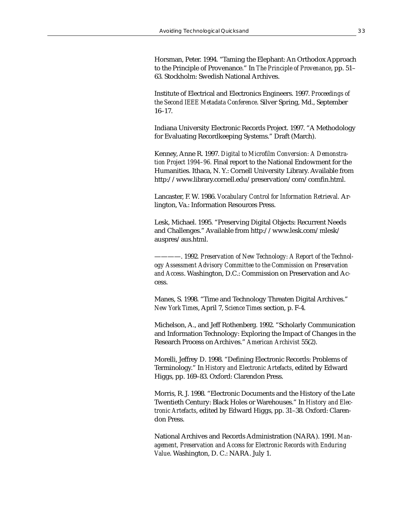Horsman, Peter. 1994. "Taming the Elephant: An Orthodox Approach to the Principle of Provenance." In *The Principle of Provenance*, pp. 51– 63. Stockholm: Swedish National Archives.

Institute of Electrical and Electronics Engineers. 1997. *Proceedings of the Second IEEE Metadata Conference*. Silver Spring, Md., September 16–17.

Indiana University Electronic Records Project. 1997. "A Methodology for Evaluating Recordkeeping Systems." Draft (March).

Kenney, Anne R. 1997. *Digital to Microfilm Conversion: A Demonstration Project 1994–96.* Final report to the National Endowment for the Humanities. Ithaca, N. Y.: Cornell University Library. Available from http://www.library.cornell.edu/preservation/com/comfin.html.

Lancaster, F. W. 1986. *Vocabulary Control for Information Retrieval.* Arlington, Va.: Information Resources Press.

Lesk, Michael. 1995. "Preserving Digital Objects: Recurrent Needs and Challenges." Available from http://www.lesk.com/mlesk/ auspres/aus.html.

————. 1992*. Preservation of New Technology: A Report of the Technology Assessment Advisory Committee to the Commission on Preservation and Access*. Washington, D.C.: Commission on Preservation and Access.

Manes, S. 1998. "Time and Technology Threaten Digital Archives." *New York Times*, April 7, *Science Times* section, p. F-4.

Michelson, A., and Jeff Rothenberg. 1992. "Scholarly Communication and Information Technology: Exploring the Impact of Changes in the Research Process on Archives." *American Archivist* 55(2).

Morelli, Jeffrey D. 1998. "Defining Electronic Records: Problems of Terminology." In *History and Electronic Artefacts*, edited by Edward Higgs, pp. 169–83. Oxford: Clarendon Press.

Morris, R. J. 1998. "Electronic Documents and the History of the Late Twentieth Century: Black Holes or Warehouses." In *History and Electronic Artefacts*, edited by Edward Higgs, pp. 31–38. Oxford: Clarendon Press.

National Archives and Records Administration (NARA). 1991. *Management, Preservation and Access for Electronic Records with Enduring Value*. Washington, D. C.: NARA. July 1.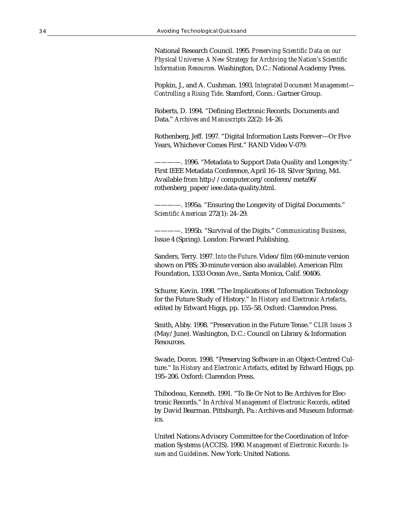National Research Council. 1995. *Preserving Scientific Data on our Physical Universe: A New Strategy for Archiving the Nation's Scientific Information Resources.* Washington, D.C.: National Academy Press.

Popkin, J., and A. Cushman. 1993. *Integrated Document Management— Controlling a Rising Tide*. Stamford, Conn.: Gartner Group.

Roberts, D. 1994. "Defining Electronic Records. Documents and Data." *Archives and Manuscripts* 22(2): 14–26.

Rothenberg, Jeff. 1997. "Digital Information Lasts Forever—Or Five Years, Whichever Comes First." RAND Video V-079.

-. 1996. "Metadata to Support Data Quality and Longevity." First IEEE Metadata Conference, April 16–18. Silver Spring, Md. Available from http://computer.org/conferen/meta96/ rothenberg\_paper/ieee.data-quality.html.

————. 1995a. "Ensuring the Longevity of Digital Documents." *Scientific American* 272(1): 24–29.

————. 1995b. "Survival of the Digits." *Communicating Business*, Issue 4 (Spring). London: Forward Publishing.

Sanders, Terry. 1997. *Into the Future*. Video/film (60-minute version shown on PBS; 30-minute version also available). American Film Foundation, 1333 Ocean Ave., Santa Monica, Calif. 90406.

Schurer, Kevin. 1998. "The Implications of Information Technology for the Future Study of History." In *History and Electronic Artefacts*, edited by Edward Higgs, pp. 155–58. Oxford: Clarendon Press.

Smith, Abby. 1998. "Preservation in the Future Tense." *CLIR Issues* 3 (May/June). Washington, D.C.: Council on Library & Information Resources.

Swade, Doron. 1998. "Preserving Software in an Object-Centred Culture." In *History and Electronic Artefacts*, edited by Edward Higgs, pp. 195–206. Oxford: Clarendon Press.

Thibodeau, Kenneth. 1991. "To Be Or Not to Be: Archives for Electronic Records." In *Archival Management of Electronic Records*, edited by David Bearman. Pittsburgh, Pa.: Archives and Museum Informatics.

United Nations Advisory Committee for the Coordination of Information Systems (ACCIS). 1990. *Management of Electronic Records: Issues and Guidelines*. New York: United Nations.